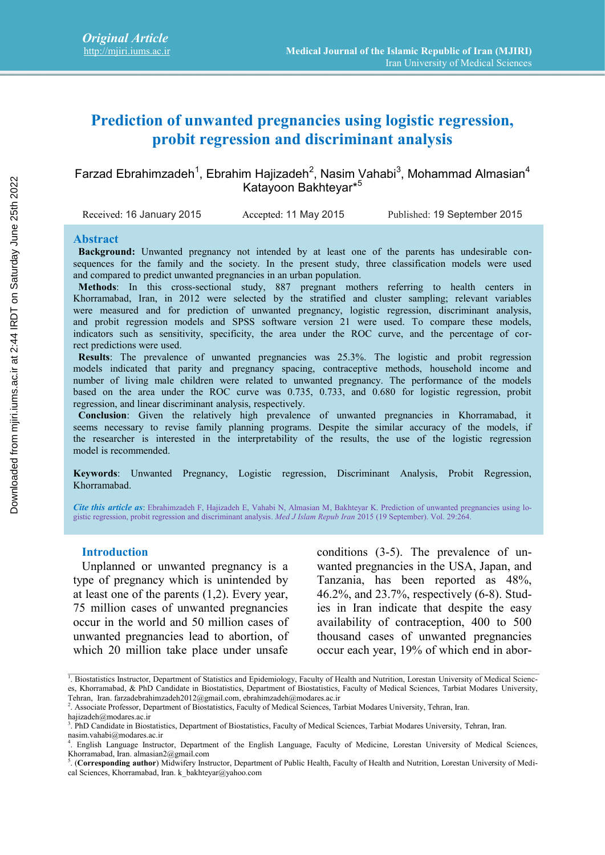# **Prediction of unwanted pregnancies using logistic regression, probit regression and discriminant analysis**

# Farzad Ebrahimzadeh<sup>1</sup>, Ebrahim Hajizadeh<sup>2</sup>, Nasim Vahabi<sup>3</sup>, Mohammad Almasian<sup>4</sup> Katayoon Bakhteyar\* 5

Received: 16 January 2015 Accepted: 11 May 2015 Published: 19 September 2015

#### **Abstract**

**Background:** Unwanted pregnancy not intended by at least one of the parents has undesirable consequences for the family and the society. In the present study, three classification models were used and compared to predict unwanted pregnancies in an urban population.

**Methods**: In this cross-sectional study, 887 pregnant mothers referring to health centers in Khorramabad, Iran, in 2012 were selected by the stratified and cluster sampling; relevant variables were measured and for prediction of unwanted pregnancy, logistic regression, discriminant analysis, and probit regression models and SPSS software version 21 were used. To compare these models, indicators such as sensitivity, specificity, the area under the ROC curve, and the percentage of correct predictions were used. Concerned the minimal of which end in abord the minimal computer of which end in abord the minimal computer of the minimal minimal computer is at 2:44 IRD on the minimal computer of the minimal computer is at 2:44 IRD on

**Results**: The prevalence of unwanted pregnancies was 25.3%. The logistic and probit regression models indicated that parity and pregnancy spacing, contraceptive methods, household income and number of living male children were related to unwanted pregnancy. The performance of the models based on the area under the ROC curve was 0.735, 0.733, and 0.680 for logistic regression, probit regression, and linear discriminant analysis, respectively.

**Conclusion**: Given the relatively high prevalence of unwanted pregnancies in Khorramabad, it seems necessary to revise family planning programs. Despite the similar accuracy of the models, if the researcher is interested in the interpretability of the results, the use of the logistic regression model is recommended.

**Keywords**: Unwanted Pregnancy, Logistic regression, Discriminant Analysis, Probit Regression, Khorramabad.

*Cite this article as*: Ebrahimzadeh F, Hajizadeh E, Vahabi N, Almasian M, Bakhteyar K. Prediction of unwanted pregnancies using lo gistic regression, probit regression and discriminant analysis. *Med J Islam Repub Iran* 2015 (19 September). Vol. 29:264.

#### **Introduction**

Unplanned or unwanted pregnancy is a type of pregnancy which is unintended by at least one of the parents (1,2). Every year, 75 million cases of unwanted pregnancies occur in the world and 50 million cases of unwanted pregnancies lead to abortion, of which 20 million take place under unsafe occur each year, 19% of which end in abor-

conditions (3-5). The prevalence of unwanted pregnancies in the USA, Japan, and Tanzania, has been reported as 48%, 46.2%, and 23.7%, respectively (6-8). Studies in Iran indicate that despite the easy availability of contraception, 400 to 500 thousand cases of unwanted pregnancies

<sup>1</sup> . Biostatistics Instructor, Department of Statistics and Epidemiology, Faculty of Health and Nutrition, Lorestan University of Medical Scienc es, Khorramabad, & PhD Candidate in Biostatistics, Department of Biostatistics, Faculty of Medical Sciences, Tarbiat Modares University, Tehran, Iran. farzadebrahimzadeh2012@gmail.com, ebrahimzadeh@modares.ac.ir

<sup>2</sup> . Associate Professor, Department of Biostatistics, Faculty of Medical Sciences, Tarbiat Modares University, Tehran, Iran.

hajizadeh@modares.ac.ir

<sup>3</sup> . PhD Candidate in Biostatistics, Department of Biostatistics, Faculty of Medical Sciences, Tarbiat Modares University, Tehran, Iran. nasim.vahabi@modares.ac.ir

<sup>4</sup> . English Language Instructor, Department of the English Language, Faculty of Medicine, Lorestan University of Medical Sciences, Khorramabad, Iran. almasian2@gmail.com

<sup>5</sup> . (**Corresponding author**) Midwifery Instructor, Department of Public Health, Faculty of Health and Nutrition, Lorestan University of Medical Sciences, Khorramabad, Iran. k\_bakhteyar@yahoo.com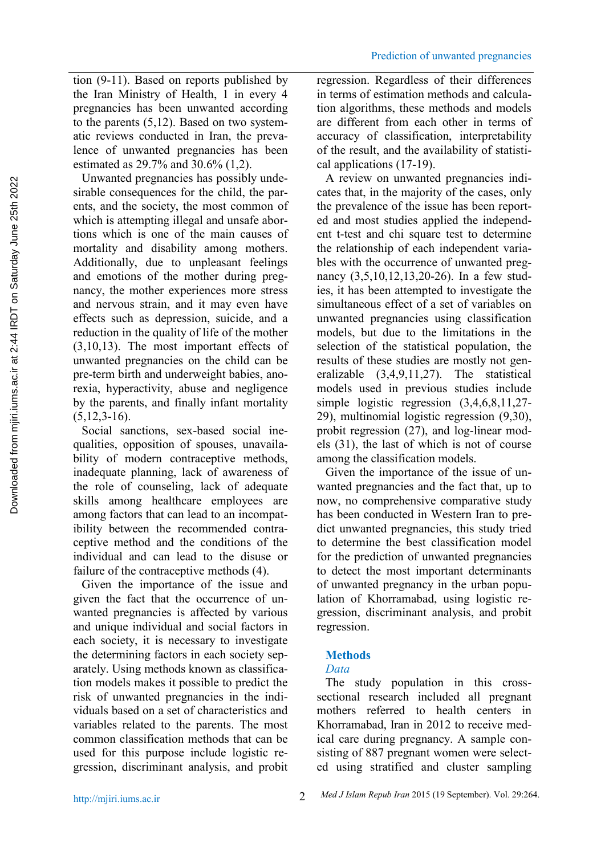tion (9-11). Based on reports published by the Iran Ministry of Health, 1 in every 4 pregnancies has been unwanted according to the parents (5,12). Based on two systematic reviews conducted in Iran, the prevalence of unwanted pregnancies has been estimated as 29.7% and 30.6% (1,2).

Unwanted pregnancies has possibly undesirable consequences for the child, the parents, and the society, the most common of which is attempting illegal and unsafe abortions which is one of the main causes of mortality and disability among mothers. Additionally, due to unpleasant feelings and emotions of the mother during pregnancy, the mother experiences more stress and nervous strain, and it may even have effects such as depression, suicide, and a reduction in the quality of life of the mother (3,10,13). The most important effects of unwanted pregnancies on the child can be pre-term birth and underweight babies, anorexia, hyperactivity, abuse and negligence by the parents, and finally infant mortality  $(5,12,3-16).$ 

Social sanctions, sex-based social inequalities, opposition of spouses, unavailability of modern contraceptive methods, inadequate planning, lack of awareness of the role of counseling, lack of adequate skills among healthcare employees are among factors that can lead to an incompatibility between the recommended contraceptive method and the conditions of the individual and can lead to the disuse or failure of the contraceptive methods (4).

Given the importance of the issue and given the fact that the occurrence of unwanted pregnancies is affected by various and unique individual and social factors in each society, it is necessary to investigate the determining factors in each society separately. Using methods known as classification models makes it possible to predict the risk of unwanted pregnancies in the individuals based on a set of characteristics and variables related to the parents. The most common classification methods that can be used for this purpose include logistic regression, discriminant analysis, and probit regression. Regardless of their differences in terms of estimation methods and calculation algorithms, these methods and models are different from each other in terms of accuracy of classification, interpretability of the result, and the availability of statistical applications (17-19).

A review on unwanted pregnancies indicates that, in the majority of the cases, only the prevalence of the issue has been reported and most studies applied the independent t-test and chi square test to determine the relationship of each independent variables with the occurrence of unwanted pregnancy (3,5,10,12,13,20-26). In a few studies, it has been attempted to investigate the simultaneous effect of a set of variables on unwanted pregnancies using classification models, but due to the limitations in the selection of the statistical population, the results of these studies are mostly not generalizable (3,4,9,11,27). The statistical models used in previous studies include simple logistic regression (3,4,6,8,11,27- 29), multinomial logistic regression (9,30), probit regression (27), and log-linear models (31), the last of which is not of course among the classification models.

Given the importance of the issue of unwanted pregnancies and the fact that, up to now, no comprehensive comparative study has been conducted in Western Iran to predict unwanted pregnancies, this study tried to determine the best classification model for the prediction of unwanted pregnancies to detect the most important determinants of unwanted pregnancy in the urban population of Khorramabad, using logistic regression, discriminant analysis, and probit regression.

# **Methods**

# *Data*

The study population in this cross sectional research included all pregnant mothers referred to health centers in Khorramabad, Iran in 2012 to receive medical care during pregnancy. A sample consisting of 887 pregnant women were selected using stratified and cluster sampling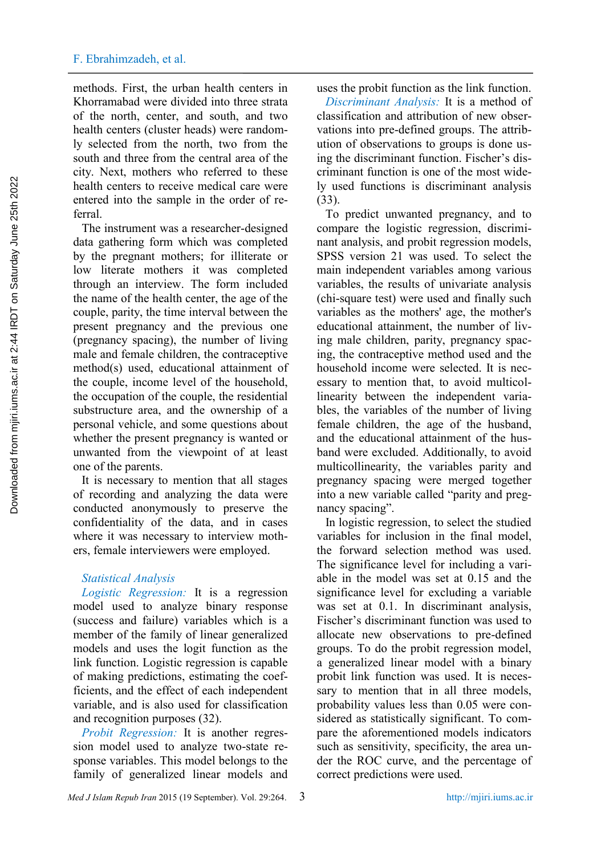methods. First, the urban health centers in Khorramabad were divided into three strata of the north, center, and south, and two health centers (cluster heads) were randomly selected from the north, two from the south and three from the central area of the city. Next, mothers who referred to these health centers to receive medical care were entered into the sample in the order of referral.

The instrument was a researcher-designed data gathering form which was completed by the pregnant mothers; for illiterate or low literate mothers it was completed through an interview. The form included the name of the health center, the age of the couple, parity, the time interval between the present pregnancy and the previous one (pregnancy spacing), the number of living male and female children, the contraceptive method(s) used, educational attainment of the couple, income level of the household, the occupation of the couple, the residential substructure area, and the ownership of a personal vehicle, and some questions about whether the present pregnancy is wanted or unwanted from the viewpoint of at least one of the parents.

It is necessary to mention that all stages of recording and analyzing the data were conducted anonymously to preserve the confidentiality of the data, and in cases where it was necessary to interview mothers, female interviewers were employed.

## *Statistical Analysis*

*Logistic Regression:* It is a regression model used to analyze binary response (success and failure) variables which is a member of the family of linear generalized models and uses the logit function as the link function. Logistic regression is capable of making predictions, estimating the coefficients, and the effect of each independent variable, and is also used for classification and recognition purposes (32).

*Probit Regression:* It is another regression model used to analyze two-state response variables. This model belongs to the family of generalized linear models and uses the probit function as the link function.

*Discriminant Analysis:* It is a method of classification and attribution of new observations into pre-defined groups. The attribution of observations to groups is done using the discriminant function. Fischer's discriminant function is one of the most widely used functions is discriminant analysis (33).

To predict unwanted pregnancy, and to compare the logistic regression, discriminant analysis, and probit regression models, SPSS version 21 was used. To select the main independent variables among various variables, the results of univariate analysis (chi-square test) were used and finally such variables as the mothers' age, the mother's educational attainment, the number of living male children, parity, pregnancy spacing, the contraceptive method used and the household income were selected. It is necessary to mention that, to avoid multicollinearity between the independent variables, the variables of the number of living female children, the age of the husband, and the educational attainment of the husband were excluded. Additionally, to avoid multicollinearity, the variables parity and pregnancy spacing were merged together into a new variable called "parity and pregnancy spacing".

In logistic regression, to select the studied variables for inclusion in the final model, the forward selection method was used. The significance level for including a variable in the model was set at 0.15 and the significance level for excluding a variable was set at 0.1. In discriminant analysis, Fischer's discriminant function was used to allocate new observations to pre-defined groups. To do the probit regression model, a generalized linear model with a binary probit link function was used. It is necessary to mention that in all three models, probability values less than 0.05 were considered as statistically significant. To compare the aforementioned models indicators such as sensitivity, specificity, the area under the ROC curve, and the percentage of correct predictions were used.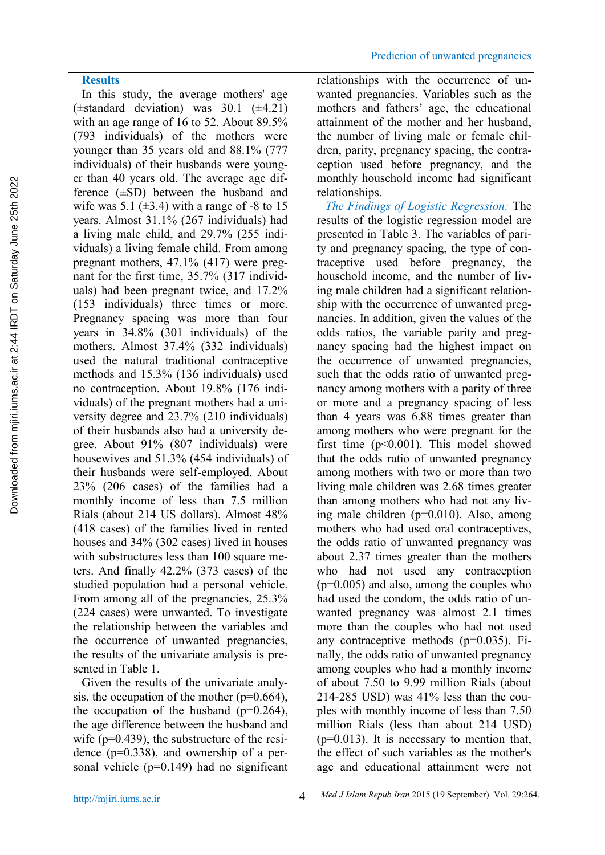In this study, the average mothers' age  $(\pm$ standard deviation) was 30.1  $(\pm 4.21)$ with an age range of 16 to 52. About 89.5% (793 individuals) of the mothers were younger than 35 years old and 88.1% (777 individuals) of their husbands were younger than 40 years old. The average age difference  $(\pm SD)$  between the husband and wife was  $5.1$  ( $\pm 3.4$ ) with a range of -8 to 15 years. Almost 31.1% (267 individuals) had a living male child, and 29.7% (255 individuals) a living female child. From among pregnant mothers, 47.1% (417) were pregnant for the first time, 35.7% (317 individuals) had been pregnant twice, and 17.2% (153 individuals) three times or more. Pregnancy spacing was more than four years in 34.8% (301 individuals) of the mothers. Almost 37.4% (332 individuals) used the natural traditional contraceptive methods and 15.3% (136 individuals) used no contraception. About 19.8% (176 individuals) of the pregnant mothers had a university degree and 23.7% (210 individuals) of their husbands also had a university degree. About 91% (807 individuals) were housewives and 51.3% (454 individuals) of their husbands were self-employed. About 23% (206 cases) of the families had a monthly income of less than 7.5 million Rials (about 214 US dollars). Almost 48% (418 cases) of the families lived in rented houses and 34% (302 cases) lived in houses with substructures less than 100 square meters. And finally 42.2% (373 cases) of the studied population had a personal vehicle. From among all of the pregnancies, 25.3% (224 cases) were unwanted. To investigate the relationship between the variables and the occurrence of unwanted pregnancies, the results of the univariate analysis is presented in Table 1.

Given the results of the univariate analysis, the occupation of the mother  $(p=0.664)$ , the occupation of the husband  $(p=0.264)$ , the age difference between the husband and wife (p=0.439), the substructure of the residence (p=0.338), and ownership of a personal vehicle (p=0.149) had no significant relationships with the occurrence of unwanted pregnancies. Variables such as the mothers and fathers' age, the educational attainment of the mother and her husband, the number of living male or female children, parity, pregnancy spacing, the contraception used before pregnancy, and the monthly household income had significant relationships.

*The Findings of Logistic Regression:* The results of the logistic regression model are presented in Table 3. The variables of parity and pregnancy spacing, the type of contraceptive used before pregnancy, the household income, and the number of living male children had a significant relationship with the occurrence of unwanted pregnancies. In addition, given the values of the odds ratios, the variable parity and pregnancy spacing had the highest impact on the occurrence of unwanted pregnancies, such that the odds ratio of unwanted pregnancy among mothers with a parity of three or more and a pregnancy spacing of less than 4 years was 6.88 times greater than among mothers who were pregnant for the first time (p<0.001). This model showed that the odds ratio of unwanted pregnancy among mothers with two or more than two living male children was 2.68 times greater than among mothers who had not any living male children (p=0.010). Also, among mothers who had used oral contraceptives, the odds ratio of unwanted pregnancy was about 2.37 times greater than the mothers who had not used any contraception (p=0.005) and also, among the couples who had used the condom, the odds ratio of unwanted pregnancy was almost 2.1 times more than the couples who had not used any contraceptive methods (p=0.035). Finally, the odds ratio of unwanted pregnancy among couples who had a monthly income of about 7.50 to 9.99 million Rials (about 214-285 USD) was 41% less than the couples with monthly income of less than 7.50 million Rials (less than about 214 USD)  $(p=0.013)$ . It is necessary to mention that, the effect of such variables as the mother's age and educational attainment were not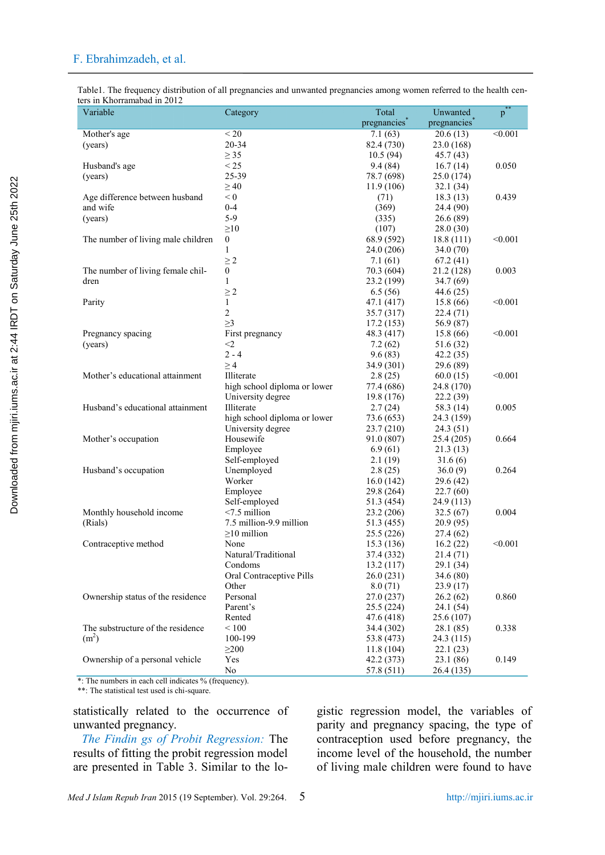Table1. The frequency distribution of all pregnancies and unwanted pregnancies among women referred to the health centers in Khorramabad in 2012

| Variable                           | Category                     | Total       | Unwanted               | $p^*$   |
|------------------------------------|------------------------------|-------------|------------------------|---------|
|                                    |                              | pregnancies | pregnancies            |         |
| Mother's age                       | < 20                         | 7.1(63)     | 20.6(13)               | < 0.001 |
| (years)                            | 20-34                        | 82.4 (730)  | 23.0 (168)             |         |
|                                    | $\geq$ 35                    | 10.5(94)    | 45.7(43)               |         |
| Husband's age                      | < 25                         | 9.4(84)     | 16.7(14)               | 0.050   |
| (years)                            | 25-39                        | 78.7 (698)  | 25.0 (174)             |         |
|                                    | $\geq 40$                    | 11.9 (106)  | 32.1(34)               |         |
| Age difference between husband     | < 0                          | (71)        | 18.3(13)               | 0.439   |
| and wife                           | $0 - 4$                      | (369)       | 24.4 (90)              |         |
| (years)                            | $5-9$                        | (335)       | 26.6(89)               |         |
|                                    | $\geq 10$                    | (107)       | 28.0(30)               |         |
| The number of living male children | $\boldsymbol{0}$             | 68.9 (592)  | 18.8(111)              | < 0.001 |
|                                    | 1                            | 24.0 (206)  | 34.0(70)               |         |
|                                    | $\geq 2$                     | 7.1(61)     | 67.2(41)               |         |
| The number of living female chil-  | $\boldsymbol{0}$             | 70.3 (604)  | 21.2 (128)             | 0.003   |
| dren                               | $\mathbf{1}$                 | 23.2 (199)  | 34.7(69)               |         |
|                                    | $\geq 2$                     | 6.5(56)     |                        |         |
| Parity                             | $\mathbf{1}$                 | 47.1 (417)  | 44.6 (25)<br>15.8 (66) | < 0.001 |
|                                    | $\overline{c}$               | 35.7 (317)  |                        |         |
|                                    | $\geq$ 3                     | 17.2(153)   | 22.4(71)<br>56.9 (87)  |         |
| Pregnancy spacing                  | First pregnancy              | 48.3 (417)  | 15.8(66)               | < 0.001 |
|                                    | $<$ 2                        | 7.2(62)     |                        |         |
| (years)                            | $2 - 4$                      |             | 51.6 (32)              |         |
|                                    |                              | 9.6(83)     | 42.2(35)               |         |
| Mother's educational attainment    | $\geq 4$<br>Illiterate       | 34.9 (301)  | 29.6 (89)              | < 0.001 |
|                                    |                              | 2.8(25)     | 60.0(15)               |         |
|                                    | high school diploma or lower | 77.4 (686)  | 24.8 (170)             |         |
|                                    | University degree            | 19.8 (176)  | 22.2(39)               |         |
| Husband's educational attainment   | Illiterate                   | 2.7(24)     | 58.3 (14)              | 0.005   |
|                                    | high school diploma or lower | 73.6 (653)  | 24.3 (159)             |         |
|                                    | University degree            | 23.7(210)   | 24.3(51)               |         |
| Mother's occupation                | Housewife                    | 91.0 (807)  | 25.4 (205)             | 0.664   |
|                                    | Employee                     | 6.9(61)     | 21.3(13)               |         |
|                                    | Self-employed                | 2.1(19)     | 31.6(6)                |         |
| Husband's occupation               | Unemployed                   | 2.8(25)     | 36.0(9)                | 0.264   |
|                                    | Worker                       | 16.0(142)   | 29.6(42)               |         |
|                                    | Employee                     | 29.8 (264)  | 22.7(60)               |         |
|                                    | Self-employed                | 51.3 (454)  | 24.9 (113)             |         |
| Monthly household income           | $< 7.5$ million              | 23.2 (206)  | 32.5(67)               | 0.004   |
| (Rials)                            | 7.5 million-9.9 million      | 51.3 (455)  | 20.9(95)               |         |
|                                    | $\geq$ 10 million            | 25.5 (226)  | 27.4(62)               |         |
| Contraceptive method               | None                         | 15.3 (136)  | 16.2(22)               | < 0.001 |
|                                    | Natural/Traditional          | 37.4 (332)  | 21.4(71)               |         |
|                                    | Condoms                      | 13.2(117)   | 29.1 (34)              |         |
|                                    | Oral Contraceptive Pills     | 26.0(231)   | 34.6(80)               |         |
|                                    | Other                        | 8.0(71)     | 23.9(17)               |         |
| Ownership status of the residence  | Personal                     | 27.0 (237)  | 26.2(62)               | 0.860   |
|                                    | Parent's                     | 25.5 (224)  | 24.1(54)               |         |
|                                    | Rented                       | 47.6 (418)  | 25.6 (107)             |         |
| The substructure of the residence  | < 100                        | 34.4 (302)  | 28.1 (85)              | 0.338   |
| (m <sup>2</sup> )                  | 100-199                      | 53.8 (473)  | 24.3 (115)             |         |
|                                    | $\geq$ 200                   | 11.8(104)   | 22.1(23)               |         |
| Ownership of a personal vehicle    | Yes                          | 42.2 (373)  | 23.1(86)               | 0.149   |
|                                    | No                           | 57.8 (511)  | 26.4 (135)             |         |

\*: The numbers in each cell indicates % (frequency).

\*\*: The statistical test used is chi-square.

statistically related to the occurrence of unwanted pregnancy.

*The Findin gs of Probit Regression:* The results of fitting the probit regression model are presented in Table 3. Similar to the logistic regression model, the variables of parity and pregnancy spacing, the type of contraception used before pregnancy, the income level of the household, the number of living male children were found to have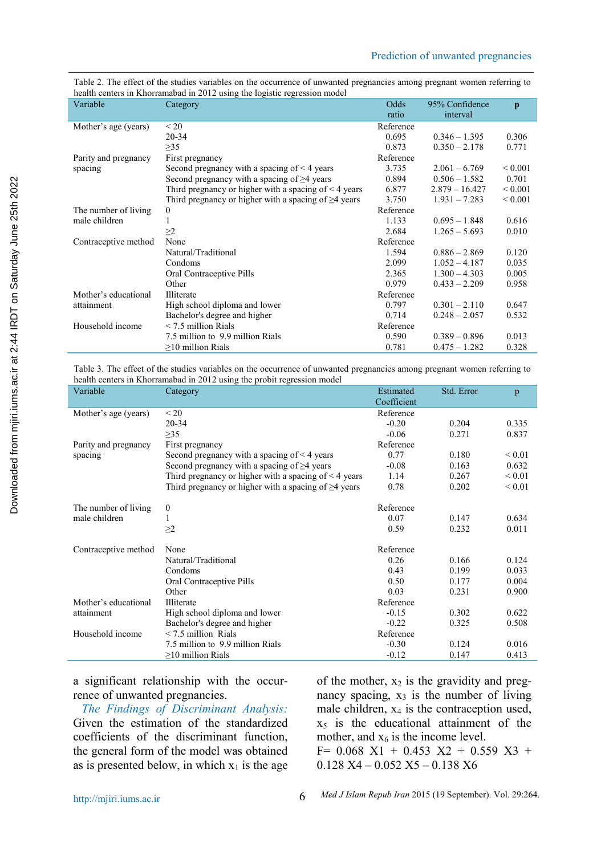Table 2. The effect of the studies variables on the occurrence of unwanted pregnancies among pregnant women referring to health centers in Khorramabad in 2012 using the logistic regression model

| Variable             | Category                                                   | Odds      | 95% Confidence   | $\mathbf{p}$ |
|----------------------|------------------------------------------------------------|-----------|------------------|--------------|
|                      |                                                            | ratio     | interval         |              |
| Mother's age (years) | < 20                                                       | Reference |                  |              |
|                      | $20 - 34$                                                  | 0.695     | $0.346 - 1.395$  | 0.306        |
|                      | $\geq$ 35                                                  | 0.873     | $0.350 - 2.178$  | 0.771        |
| Parity and pregnancy | First pregnancy                                            | Reference |                  |              |
| spacing              | Second pregnancy with a spacing of $\leq 4$ years          | 3.735     | $2.061 - 6.769$  | ${}_{0.001}$ |
|                      | Second pregnancy with a spacing of $\geq$ 4 years          | 0.894     | $0.506 - 1.582$  | 0.701        |
|                      | Third pregnancy or higher with a spacing of $\leq 4$ years | 6.877     | $2.879 - 16.427$ | ${}_{0.001}$ |
|                      | Third pregnancy or higher with a spacing of $\geq$ 4 years | 3.750     | $1.931 - 7.283$  | ${}_{0.001}$ |
| The number of living | $\mathbf{0}$                                               | Reference |                  |              |
| male children        |                                                            | 1.133     | $0.695 - 1.848$  | 0.616        |
|                      | $\geq$ 2                                                   | 2.684     | $1.265 - 5.693$  | 0.010        |
| Contraceptive method | None                                                       | Reference |                  |              |
|                      | Natural/Traditional                                        | 1.594     | $0.886 - 2.869$  | 0.120        |
|                      | Condoms                                                    | 2.099     | $1.052 - 4.187$  | 0.035        |
|                      | Oral Contraceptive Pills                                   | 2.365     | $1.300 - 4.303$  | 0.005        |
|                      | Other                                                      | 0.979     | $0.433 - 2.209$  | 0.958        |
| Mother's educational | Illiterate                                                 | Reference |                  |              |
| attainment           | High school diploma and lower                              | 0.797     | $0.301 - 2.110$  | 0.647        |
|                      | Bachelor's degree and higher                               | 0.714     | $0.248 - 2.057$  | 0.532        |
| Household income     | $\leq$ 7.5 million Rials                                   | Reference |                  |              |
|                      | 7.5 million to 9.9 million Rials                           | 0.590     | $0.389 - 0.896$  | 0.013        |
|                      | $\geq$ 10 million Rials                                    | 0.781     | $0.475 - 1.282$  | 0.328        |

Table 3. The effect of the studies variables on the occurrence of unwanted pregnancies among pregnant women referring to health centers in Khorramabad in 2012 using the probit regression model

| Variable             | Category                                                   | Estimated<br>Coefficient | Std. Error | p           |
|----------------------|------------------------------------------------------------|--------------------------|------------|-------------|
| Mother's age (years) | $\leq$ 20                                                  | Reference                |            |             |
|                      | $20 - 34$                                                  | $-0.20$                  | 0.204      | 0.335       |
|                      | $\geq$ 35                                                  | $-0.06$                  | 0.271      | 0.837       |
| Parity and pregnancy | First pregnancy                                            | Reference                |            |             |
| spacing              | Second pregnancy with a spacing of $\leq 4$ years          | 0.77                     | 0.180      | ${}_{0.01}$ |
|                      | Second pregnancy with a spacing of $\geq$ 4 years          | $-0.08$                  | 0.163      | 0.632       |
|                      | Third pregnancy or higher with a spacing of $\leq 4$ years | 1.14                     | 0.267      | ${}_{0.01}$ |
|                      | Third pregnancy or higher with a spacing of $\geq$ 4 years | 0.78                     | 0.202      | ${}_{0.01}$ |
| The number of living | $\mathbf{0}$                                               | Reference                |            |             |
| male children        | 1                                                          | 0.07                     | 0.147      | 0.634       |
|                      | $\geq$ 2                                                   | 0.59                     | 0.232      | 0.011       |
| Contraceptive method | None                                                       | Reference                |            |             |
|                      | Natural/Traditional                                        | 0.26                     | 0.166      | 0.124       |
|                      | Condoms                                                    | 0.43                     | 0.199      | 0.033       |
|                      | Oral Contraceptive Pills                                   | 0.50                     | 0.177      | 0.004       |
|                      | Other                                                      | 0.03                     | 0.231      | 0.900       |
| Mother's educational | Illiterate                                                 | Reference                |            |             |
| attainment           | High school diploma and lower                              | $-0.15$                  | 0.302      | 0.622       |
|                      | Bachelor's degree and higher                               | $-0.22$                  | 0.325      | 0.508       |
| Household income     | $\leq$ 7.5 million Rials                                   | Reference                |            |             |
|                      | 7.5 million to 9.9 million Rials                           | $-0.30$                  | 0.124      | 0.016       |
|                      | $\geq$ 10 million Rials                                    | $-0.12$                  | 0.147      | 0.413       |

a significant relationship with the occurrence of unwanted pregnancies.

*The Findings of Discriminant Analysis:* Given the estimation of the standardized coefficients of the discriminant function, the general form of the model was obtained as is presented below, in which  $x_1$  is the age of the mother,  $x_2$  is the gravidity and pregnancy spacing,  $x_3$  is the number of living male children,  $x_4$  is the contraception used,  $x<sub>5</sub>$  is the educational attainment of the mother, and  $x_6$  is the income level.

 $F= 0.068$   $X1 + 0.453$   $X2 + 0.559$   $X3 +$ 0.128 X4 – 0.052 X5 – 0.138 X6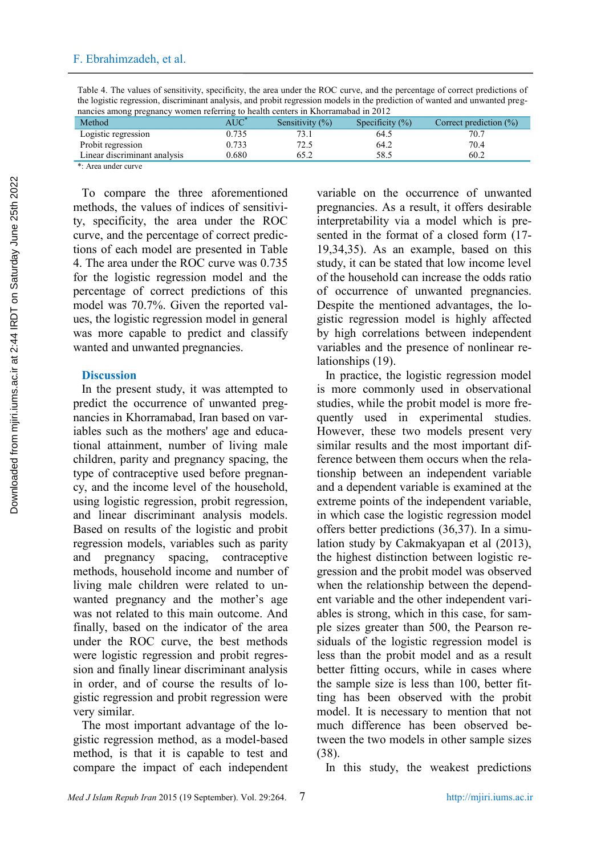Table 4. The values of sensitivity, specificity, the area under the ROC curve, and the percentage of correct predictions of the logistic regression, discriminant analysis, and probit regression models in the prediction of wanted and unwanted pregnancies among pregnancy women referring to health centers in Khorramabad in 2012

| Method                       | $\rm AUC$ | Sensitivity $(\%)$ | Specificity $(\%)$ | Correct prediction $(\% )$ |
|------------------------------|-----------|--------------------|--------------------|----------------------------|
| Logistic regression          | .735      |                    | 64.5               |                            |
| Probit regression            | 0.733     |                    | 64.2               | 70.4                       |
| Linear discriminant analysis | 0.680     |                    | 58.5               | 60.2                       |

\*: Area under curve

To compare the three aforementioned methods, the values of indices of sensitivity, specificity, the area under the ROC curve, and the percentage of correct predictions of each model are presented in Table 4. The area under the ROC curve was 0.735 for the logistic regression model and the percentage of correct predictions of this model was 70.7%. Given the reported values, the logistic regression model in general was more capable to predict and classify wanted and unwanted pregnancies.

# **Discussion**

In the present study, it was attempted to predict the occurrence of unwanted pregnancies in Khorramabad, Iran based on variables such as the mothers' age and educational attainment, number of living male children, parity and pregnancy spacing, the type of contraceptive used before pregnancy, and the income level of the household, using logistic regression, probit regression, and linear discriminant analysis models. Based on results of the logistic and probit regression models, variables such as parity and pregnancy spacing, contraceptive methods, household income and number of living male children were related to unwanted pregnancy and the mother's age was not related to this main outcome. And finally, based on the indicator of the area under the ROC curve, the best methods were logistic regression and probit regression and finally linear discriminant analysis in order, and of course the results of logistic regression and probit regression were very similar.

The most important advantage of the logistic regression method, as a model-based method, is that it is capable to test and compare the impact of each independent variable on the occurrence of unwanted pregnancies. As a result, it offers desirable interpretability via a model which is presented in the format of a closed form (17- 19,34,35). As an example, based on this study, it can be stated that low income level of the household can increase the odds ratio of occurrence of unwanted pregnancies. Despite the mentioned advantages, the logistic regression model is highly affected by high correlations between independent variables and the presence of nonlinear relationships (19).

In practice, the logistic regression model is more commonly used in observational studies, while the probit model is more frequently used in experimental studies. However, these two models present very similar results and the most important difference between them occurs when the relationship between an independent variable and a dependent variable is examined at the extreme points of the independent variable, in which case the logistic regression model offers better predictions (36,37). In a simulation study by Cakmakyapan et al (2013), the highest distinction between logistic regression and the probit model was observed when the relationship between the dependent variable and the other independent variables is strong, which in this case, for sample sizes greater than 500, the Pearson residuals of the logistic regression model is less than the probit model and as a result better fitting occurs, while in cases where the sample size is less than 100, better fitting has been observed with the probit model. It is necessary to mention that not much difference has been observed between the two models in other sample sizes (38).

In this study, the weakest predictions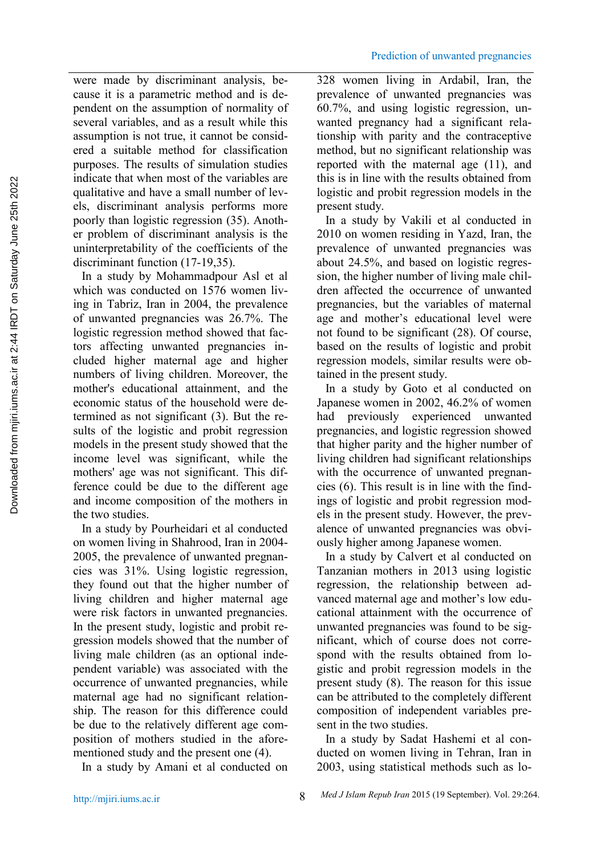were made by discriminant analysis, because it is a parametric method and is dependent on the assumption of normality of several variables, and as a result while this assumption is not true, it cannot be considered a suitable method for classification purposes. The results of simulation studies indicate that when most of the variables are qualitative and have a small number of levels, discriminant analysis performs more poorly than logistic regression (35). Another problem of discriminant analysis is the uninterpretability of the coefficients of the discriminant function (17-19,35).

In a study by Mohammadpour Asl et al which was conducted on 1576 women living in Tabriz, Iran in 2004, the prevalence of unwanted pregnancies was 26.7%. The logistic regression method showed that factors affecting unwanted pregnancies included higher maternal age and higher numbers of living children. Moreover, the mother's educational attainment, and the economic status of the household were determined as not significant (3). But the results of the logistic and probit regression models in the present study showed that the income level was significant, while the mothers' age was not significant. This difference could be due to the different age and income composition of the mothers in the two studies. methods water into the top statistical methods such as loop with the statistical methods in the statistical methods in the statistical methods in the statistical methods in the statistical methods in the statistical metho

In a study by Pourheidari et al conducted on women living in Shahrood, Iran in 2004- 2005, the prevalence of unwanted pregnancies was 31%. Using logistic regression, they found out that the higher number of living children and higher maternal age were risk factors in unwanted pregnancies. In the present study, logistic and probit regression models showed that the number of living male children (as an optional independent variable) was associated with the occurrence of unwanted pregnancies, while maternal age had no significant relationship. The reason for this difference could be due to the relatively different age composition of mothers studied in the aforementioned study and the present one (4).

328 women living in Ardabil, Iran, the prevalence of unwanted pregnancies was 60.7%, and using logistic regression, unwanted pregnancy had a significant relationship with parity and the contraceptive method, but no significant relationship was reported with the maternal age (11), and this is in line with the results obtained from logistic and probit regression models in the present study.

In a study by Vakili et al conducted in 2010 on women residing in Yazd, Iran, the prevalence of unwanted pregnancies was about 24.5%, and based on logistic regression, the higher number of living male children affected the occurrence of unwanted pregnancies, but the variables of maternal age and mother's educational level were not found to be significant (28). Of course, based on the results of logistic and probit regression models, similar results were obtained in the present study.

In a study by Goto et al conducted on Japanese women in 2002, 46.2% of women had previously experienced unwanted pregnancies, and logistic regression showed that higher parity and the higher number of living children had significant relationships with the occurrence of unwanted pregnancies (6). This result is in line with the findings of logistic and probit regression models in the present study. However, the prevalence of unwanted pregnancies was obviously higher among Japanese women.

In a study by Calvert et al conducted on Tanzanian mothers in 2013 using logistic regression, the relationship between advanced maternal age and mother's low educational attainment with the occurrence of unwanted pregnancies was found to be significant, which of course does not correspond with the results obtained from logistic and probit regression models in the present study (8). The reason for this issue can be attributed to the completely different composition of independent variables present in the two studies.

In a study by Amani et al conducted on 2003, using statistical methods such as lo-In a study by Sadat Hashemi et al conducted on women living in Tehran, Iran in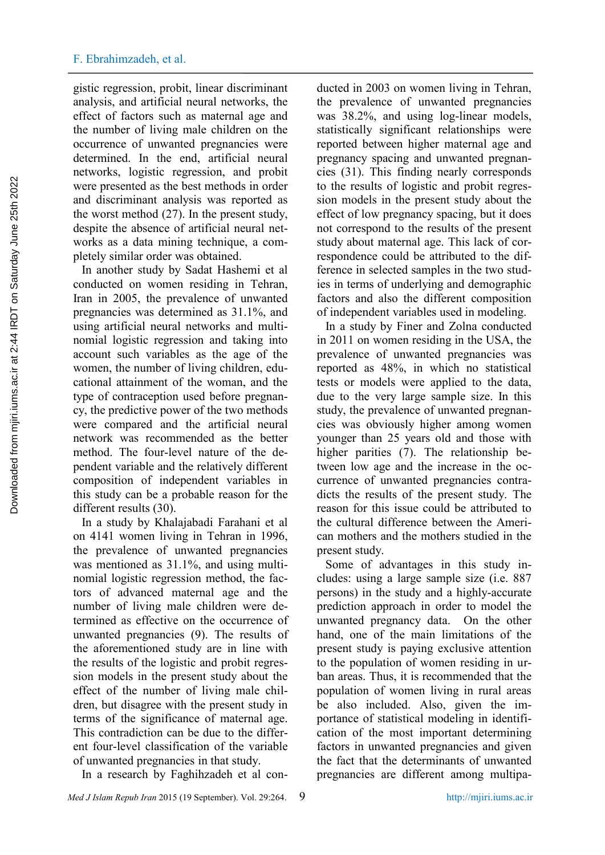gistic regression, probit, linear discriminant analysis, and artificial neural networks, the effect of factors such as maternal age and the number of living male children on the occurrence of unwanted pregnancies were determined. In the end, artificial neural networks, logistic regression, and probit were presented as the best methods in order and discriminant analysis was reported as the worst method (27). In the present study, despite the absence of artificial neural networks as a data mining technique, a completely similar order was obtained.

In another study by Sadat Hashemi et al conducted on women residing in Tehran, Iran in 2005, the prevalence of unwanted pregnancies was determined as 31.1%, and using artificial neural networks and multinomial logistic regression and taking into account such variables as the age of the women, the number of living children, educational attainment of the woman, and the type of contraception used before pregnancy, the predictive power of the two methods were compared and the artificial neural network was recommended as the better method. The four-level nature of the dependent variable and the relatively different composition of independent variables in this study can be a probable reason for the different results (30). exer presented as the track of the results of the results of the results of the results of the results of the results of the results of the results of the results of the results of the results of the results of the results

In a study by Khalajabadi Farahani et al on 4141 women living in Tehran in 1996, the prevalence of unwanted pregnancies was mentioned as 31.1%, and using multinomial logistic regression method, the factors of advanced maternal age and the number of living male children were determined as effective on the occurrence of unwanted pregnancies (9). The results of the aforementioned study are in line with the results of the logistic and probit regression models in the present study about the effect of the number of living male children, but disagree with the present study in terms of the significance of maternal age. This contradiction can be due to the different four-level classification of the variable of unwanted pregnancies in that study.

In a research by Faghihzadeh et al con-

*Med J Islam Repub Iran* 2015 (19 September). Vol. 29:264. 9 http://mjiri.jums.ac.ir

ducted in 2003 on women living in Tehran, the prevalence of unwanted pregnancies was 38.2%, and using log-linear models, statistically significant relationships were reported between higher maternal age and pregnancy spacing and unwanted pregnancies (31). This finding nearly corresponds to the results of logistic and probit regression models in the present study about the effect of low pregnancy spacing, but it does not correspond to the results of the present study about maternal age. This lack of correspondence could be attributed to the difference in selected samples in the two studies in terms of underlying and demographic factors and also the different composition of independent variables used in modeling.

In a study by Finer and Zolna conducted in 2011 on women residing in the USA, the prevalence of unwanted pregnancies was reported as 48%, in which no statistical tests or models were applied to the data, due to the very large sample size. In this study, the prevalence of unwanted pregnancies was obviously higher among women younger than 25 years old and those with higher parities (7). The relationship between low age and the increase in the occurrence of unwanted pregnancies contradicts the results of the present study. The reason for this issue could be attributed to the cultural difference between the American mothers and the mothers studied in the present study.

Some of advantages in this study includes: using a large sample size (i.e. 887 persons) in the study and a highly-accurate prediction approach in order to model the unwanted pregnancy data. On the other hand, one of the main limitations of the present study is paying exclusive attention to the population of women residing in urban areas. Thus, it is recommended that the population of women living in rural areas be also included. Also, given the importance of statistical modeling in identification of the most important determining factors in unwanted pregnancies and given the fact that the determinants of unwanted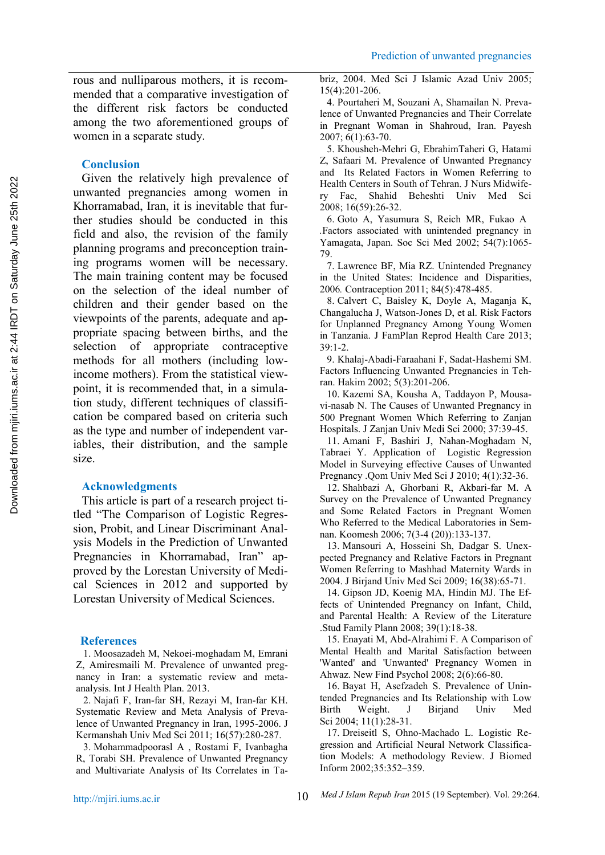rous and nulliparous mothers, it is recommended that a comparative investigation of the different risk factors be conducted among the two aforementioned groups of women in a separate study.

## **Conclusion**

Given the relatively high prevalence of unwanted pregnancies among women in  $\frac{1}{r_v}$ Khorramabad, Iran, it is inevitable that further studies should be conducted in this field and also, the revision of the family planning programs and preconception training programs women will be necessary. The main training content may be focused on the selection of the ideal number of children and their gender based on the viewpoints of the parents, adequate and appropriate spacing between births, and the selection of appropriate contraceptive methods for all mothers (including lowincome mothers). From the statistical viewpoint, it is recommended that, in a simulation study, different techniques of classification be compared based on criteria such as the type and number of independent variables, their distribution, and the sample size.

## **Acknowledgments**

This article is part of a research project titled "The Comparison of Logistic Regression, Probit, and Linear Discriminant Analysis Models in the Prediction of Unwanted Pregnancies in Khorramabad, Iran" approved by the Lorestan University of Medical Sciences in 2012 and supported by Lorestan University of Medical Sciences.

## **References**

1. Moosazadeh M, Nekoei-moghadam M, Emrani Z, Amiresmaili M. Prevalence of unwanted pregnancy in Iran: a systematic review and meta analysis. Int J Health Plan. 2013.

2. Najafi F, Iran-far SH, Rezayi M, Iran-far KH. Systematic Review and Meta Analysis of Prevalence of Unwanted Pregnancy in Iran, 1995-2006. J Kermanshah Univ Med Sci 2011; 16(57):280-287.

3. Mohammadpoorasl A , Rostami F, Ivanbagha R, Torabi SH. Prevalence of Unwanted Pregnancy and Multivariate Analysis of Its Correlates in Tabriz, 2004. Med Sci J Islamic Azad Univ 2005; 15(4):201-206.

4. Pourtaheri M, Souzani A, Shamailan N. Prevalence of Unwanted Pregnancies and Their Correlate in Pregnant Woman in Shahroud, Iran. Payesh 2007; 6(1):63-70.

5. Khousheh-Mehri G, EbrahimTaheri G, Hatami Z, Safaari M. Prevalence of Unwanted Pregnancy and Its Related Factors in Women Referring to Health Centers in South of Tehran. J Nurs Midwife-Fac, Shahid Beheshti Univ Med Sci 2008; 16(59):26-32.

6. Goto A, Yasumura S, Reich MR, Fukao A *.*Factors associated with unintended pregnancy in Yamagata, Japan. Soc Sci Med 2002; 54(7):1065- 79.

7. Lawrence BF, Mia RZ. Unintended Pregnancy in the United States: Incidence and Disparities, 2006*.* Contraception 2011; 84(5):478-485.

8. Calvert C, Baisley K, Doyle A, Maganja K, Changalucha J, Watson-Jones D, et al. Risk Factors for Unplanned Pregnancy Among Young Women in Tanzania. J FamPlan Reprod Health Care 2013; 39:1-2.

9. Khalaj-Abadi-Faraahani F, Sadat-Hashemi SM. Factors Influencing Unwanted Pregnancies in Tehran. Hakim 2002; 5(3):201-206.

10. Kazemi SA, Kousha A, Taddayon P, Mousavi-nasab N. The Causes of Unwanted Pregnancy in 500 Pregnant Women Which Referring to Zanjan Hospitals. J Zanjan Univ Medi Sci 2000; 37:39-45.

11. Amani F, Bashiri J, Nahan-Moghadam N, Tabraei Y. Application of Logistic Regression Model in Surveying effective Causes of Unwanted Pregnancy .Qom Univ Med Sci J 2010; 4(1):32-36.

12. Shahbazi A, Ghorbani R, Akbari-far M. A Survey on the Prevalence of Unwanted Pregnancy and Some Related Factors in Pregnant Women Who Referred to the Medical Laboratories in Semnan. Koomesh 2006; 7(3-4 (20)):133-137.

13. Mansouri A, Hosseini Sh, Dadgar S. Unexpected Pregnancy and Relative Factors in Pregnant Women Referring to Mashhad Maternity Wards in 2004. J Birjand Univ Med Sci 2009; 16(38):65-71.

14. Gipson JD, Koenig MA, Hindin MJ. The Effects of Unintended Pregnancy on Infant, Child, and Parental Health: A Review of the Literature .Stud Family Plann 2008; 39(1):18-38.

15. Enayati M, Abd-Alrahimi F. A Comparison of Mental Health and Marital Satisfaction between 'Wanted' and 'Unwanted' Pregnancy Women in Ahwaz. New Find Psychol 2008; 2(6):66-80.

16. Bayat H, Asefzadeh S. Prevalence of Unintended Pregnancies and Its Relationship with Low Birth Weight. J Birjand Univ Med Sci 2004; 11(1):28-31.

17. Dreiseitl S, Ohno-Machado L. Logistic Regression and Artificial Neural Network Classification Models: A methodology Review. J Biomed Inform 2002;35:352–359.